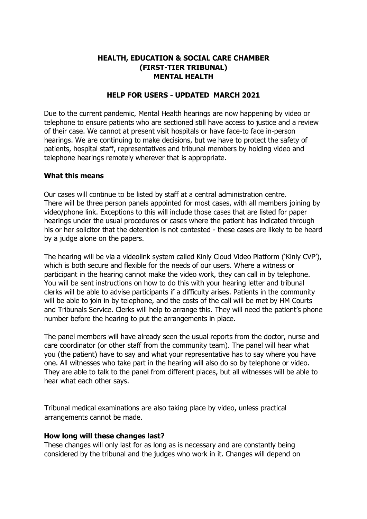## **HEALTH, EDUCATION & SOCIAL CARE CHAMBER (FIRST-TIER TRIBUNAL) MENTAL HEALTH**

## **HELP FOR USERS - UPDATED MARCH 2021**

Due to the current pandemic, Mental Health hearings are now happening by video or telephone to ensure patients who are sectioned still have access to justice and a review of their case. We cannot at present visit hospitals or have face-to face in-person hearings. We are continuing to make decisions, but we have to protect the safety of patients, hospital staff, representatives and tribunal members by holding video and telephone hearings remotely wherever that is appropriate.

## **What this means**

Our cases will continue to be listed by staff at a central administration centre. There will be three person panels appointed for most cases, with all members joining by video/phone link. Exceptions to this will include those cases that are listed for paper hearings under the usual procedures or cases where the patient has indicated through his or her solicitor that the detention is not contested - these cases are likely to be heard by a judge alone on the papers.

The hearing will be via a videolink system called Kinly Cloud Video Platform ('Kinly CVP'), which is both secure and flexible for the needs of our users. Where a witness or participant in the hearing cannot make the video work, they can call in by telephone. You will be sent instructions on how to do this with your hearing letter and tribunal clerks will be able to advise participants if a difficulty arises. Patients in the community will be able to join in by telephone, and the costs of the call will be met by HM Courts and Tribunals Service. Clerks will help to arrange this. They will need the patient's phone number before the hearing to put the arrangements in place.

The panel members will have already seen the usual reports from the doctor, nurse and care coordinator (or other staff from the community team). The panel will hear what you (the patient) have to say and what your representative has to say where you have one. All witnesses who take part in the hearing will also do so by telephone or video. They are able to talk to the panel from different places, but all witnesses will be able to hear what each other says.

Tribunal medical examinations are also taking place by video, unless practical arrangements cannot be made.

## **How long will these changes last?**

These changes will only last for as long as is necessary and are constantly being considered by the tribunal and the judges who work in it. Changes will depend on